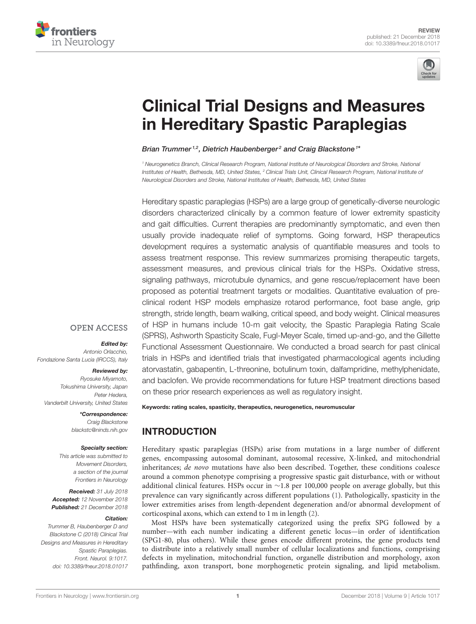



# [Clinical Trial Designs and Measures](https://www.frontiersin.org/articles/10.3389/fneur.2018.01017/full) in Hereditary Spastic Paraplegias

[Brian Trummer](http://loop.frontiersin.org/people/523504/overview)<sup>1,2</sup>, Dietrich Haubenberger<sup>2</sup> and [Craig Blackstone](http://loop.frontiersin.org/people/95359/overview)<sup>1\*</sup>

*<sup>1</sup> Neurogenetics Branch, Clinical Research Program, National Institute of Neurological Disorders and Stroke, National Institutes of Health, Bethesda, MD, United States, <sup>2</sup> Clinical Trials Unit, Clinical Research Program, National Institute of Neurological Disorders and Stroke, National Institutes of Health, Bethesda, MD, United States*

Hereditary spastic paraplegias (HSPs) are a large group of genetically-diverse neurologic disorders characterized clinically by a common feature of lower extremity spasticity and gait difficulties. Current therapies are predominantly symptomatic, and even then usually provide inadequate relief of symptoms. Going forward, HSP therapeutics development requires a systematic analysis of quantifiable measures and tools to assess treatment response. This review summarizes promising therapeutic targets, assessment measures, and previous clinical trials for the HSPs. Oxidative stress, signaling pathways, microtubule dynamics, and gene rescue/replacement have been proposed as potential treatment targets or modalities. Quantitative evaluation of preclinical rodent HSP models emphasize rotarod performance, foot base angle, grip strength, stride length, beam walking, critical speed, and body weight. Clinical measures of HSP in humans include 10-m gait velocity, the Spastic Paraplegia Rating Scale (SPRS), Ashworth Spasticity Scale, Fugl-Meyer Scale, timed up-and-go, and the Gillette Functional Assessment Questionnaire. We conducted a broad search for past clinical trials in HSPs and identified trials that investigated pharmacological agents including atorvastatin, gabapentin, L-threonine, botulinum toxin, dalfampridine, methylphenidate, and baclofen. We provide recommendations for future HSP treatment directions based on these prior research experiences as well as regulatory insight.

## **OPEN ACCESS**

## Edited by:

*Antonio Orlacchio, Fondazione Santa Lucia (IRCCS), Italy*

#### Reviewed by:

*Ryosuke Miyamoto, Tokushima University, Japan Peter Hedera, Vanderbilt University, United States*

> \*Correspondence: *Craig Blackstone [blackstc@ninds.nih.gov](mailto:blackstc@ninds.nih.gov)*

#### Specialty section:

*This article was submitted to Movement Disorders, a section of the journal Frontiers in Neurology*

Received: *31 July 2018* Accepted: *12 November 2018* Published: *21 December 2018*

#### Citation:

*Trummer B, Haubenberger D and Blackstone C (2018) Clinical Trial Designs and Measures in Hereditary Spastic Paraplegias. Front. Neurol. 9:1017. doi: [10.3389/fneur.2018.01017](https://doi.org/10.3389/fneur.2018.01017)* Keywords: rating scales, spasticity, therapeutics, neurogenetics, neuromuscular

# INTRODUCTION

Hereditary spastic paraplegias (HSPs) arise from mutations in a large number of different genes, encompassing autosomal dominant, autosomal recessive, X-linked, and mitochondrial inheritances; de novo mutations have also been described. Together, these conditions coalesce around a common phenotype comprising a progressive spastic gait disturbance, with or without additional clinical features. HSPs occur in ∼1.8 per 100,000 people on average globally, but this prevalence can vary significantly across different populations [\(1\)](#page-7-0). Pathologically, spasticity in the lower extremities arises from length-dependent degeneration and/or abnormal development of corticospinal axons, which can extend to 1 m in length [\(2\)](#page-7-1).

Most HSPs have been systematically categorized using the prefix SPG followed by a number—with each number indicating a different genetic locus—in order of identification (SPG1-80, plus others). While these genes encode different proteins, the gene products tend to distribute into a relatively small number of cellular localizations and functions, comprising defects in myelination, mitochondrial function, organelle distribution and morphology, axon pathfinding, axon transport, bone morphogenetic protein signaling, and lipid metabolism.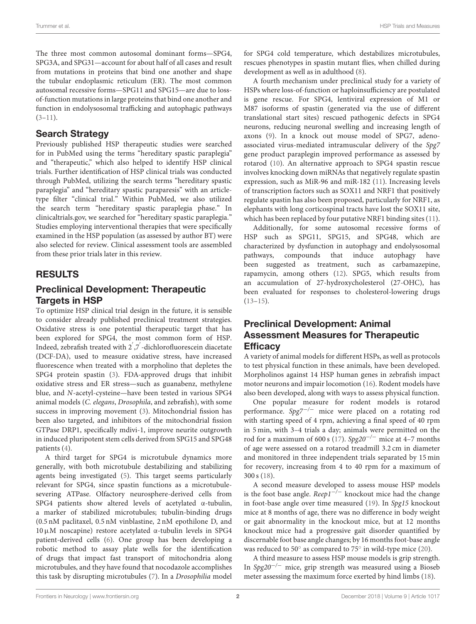The three most common autosomal dominant forms—SPG4, SPG3A, and SPG31—account for about half of all cases and result from mutations in proteins that bind one another and shape the tubular endoplasmic reticulum (ER). The most common autosomal recessive forms—SPG11 and SPG15—are due to lossof-function mutations in large proteins that bind one another and function in endolysosomal trafficking and autophagic pathways  $(3-11)$  $(3-11)$ .

# Search Strategy

Previously published HSP therapeutic studies were searched for in PubMed using the terms "hereditary spastic paraplegia" and "therapeutic," which also helped to identify HSP clinical trials. Further identification of HSP clinical trials was conducted through PubMed, utilizing the search terms "hereditary spastic paraplegia" and "hereditary spastic paraparesis" with an articletype filter "clinical trial." Within PubMed, we also utilized the search term "hereditary spastic paraplegia phase." In clinicaltrials.gov, we searched for "hereditary spastic paraplegia." Studies employing interventional therapies that were specifically examined in the HSP population (as assessed by author BT) were also selected for review. Clinical assessment tools are assembled from these prior trials later in this review.

# RESULTS

# Preclinical Development: Therapeutic Targets in HSP

To optimize HSP clinical trial design in the future, it is sensible to consider already published preclinical treatment strategies. Oxidative stress is one potential therapeutic target that has been explored for SPG4, the most common form of HSP. Indeed, zebrafish treated with 2<sup>'</sup>,7<sup>'</sup>-dichlorofluorescein diacetate (DCF-DA), used to measure oxidative stress, have increased fluorescence when treated with a morpholino that depletes the SPG4 protein spastin [\(3\)](#page-7-2). FDA-approved drugs that inhibit oxidative stress and ER stress—such as guanabenz, methylene blue, and N-acetyl-cysteine—have been tested in various SPG4 animal models (C. elegans, Drosophila, and zebrafish), with some success in improving movement [\(3\)](#page-7-2). Mitochondrial fission has been also targeted, and inhibitors of the mitochondrial fission GTPase DRP1, specifically mdivi-1, improve neurite outgrowth in induced pluripotent stem cells derived from SPG15 and SPG48 patients [\(4\)](#page-7-4).

A third target for SPG4 is microtubule dynamics more generally, with both microtubule destabilizing and stabilizing agents being investigated [\(5\)](#page-7-5). This target seems particularly relevant for SPG4, since spastin functions as a microtubulesevering ATPase. Olfactory neurosphere-derived cells from SPG4 patients show altered levels of acetylated α-tubulin, a marker of stabilized microtubules; tubulin-binding drugs (0.5 nM paclitaxel, 0.5 nM vinblastine, 2 nM epothilone D, and 10µM noscapine) restore acetylated α-tubulin levels in SPG4 patient-derived cells [\(6\)](#page-7-6). One group has been developing a robotic method to assay plate wells for the identification of drugs that impact fast transport of mitochondria along microtubules, and they have found that nocodazole accomplishes this task by disrupting microtubules [\(7\)](#page-7-7). In a Drosophilia model for SPG4 cold temperature, which destabilizes microtubules, rescues phenotypes in spastin mutant flies, when chilled during development as well as in adulthood [\(8\)](#page-7-8).

A fourth mechanism under preclinical study for a variety of HSPs where loss-of-function or haploinsufficiency are postulated is gene rescue. For SPG4, lentiviral expression of M1 or M87 isoforms of spastin (generated via the use of different translational start sites) rescued pathogenic defects in SPG4 neurons, reducing neuronal swelling and increasing length of axons [\(9\)](#page-7-9). In a knock out mouse model of SPG7, adenoassociated virus-mediated intramuscular delivery of the Spg7 gene product paraplegin improved performance as assessed by rotarod [\(10\)](#page-7-10). An alternative approach to SPG4 spastin rescue involves knocking down miRNAs that negatively regulate spastin expression, such as MiR-96 and miR-182 [\(11\)](#page-7-3). Increasing levels of transcription factors such as SOX11 and NRF1 that positively regulate spastin has also been proposed, particularly for NRF1, as elephants with long corticospinal tracts have lost the SOX11 site, which has been replaced by four putative NRF1 binding sites [\(11\)](#page-7-3).

Additionally, for some autosomal recessive forms of HSP such as SPG11, SPG15, and SPG48, which are characterized by dysfunction in autophagy and endolysosomal pathways, compounds that induce autophagy have been suggested as treatment, such as carbamazepine, rapamycin, among others [\(12\)](#page-8-0). SPG5, which results from an accumulation of 27-hydroxycholesterol (27-OHC), has been evaluated for responses to cholesterol-lowering drugs  $(13-15)$  $(13-15)$ .

# Preclinical Development: Animal Assessment Measures for Therapeutic **Efficacy**

A variety of animal models for different HSPs, as well as protocols to test physical function in these animals, have been developed. Morpholinos against 14 HSP human genes in zebrafish impact motor neurons and impair locomotion [\(16\)](#page-8-3). Rodent models have also been developed, along with ways to assess physical function.

One popular measure for rodent models is rotarod performance. Spg7<sup>-/-</sup> mice were placed on a rotating rod with starting speed of 4 rpm, achieving a final speed of 40 rpm in 5 min, with 3–4 trials a day; animals were permitted on the rod for a maximum of 600 s [\(17\)](#page-8-4). Spg20<sup>-/-</sup> mice at 4–7 months of age were assessed on a rotarod treadmill 3.2 cm in diameter and monitored in three independent trials separated by 15 min for recovery, increasing from 4 to 40 rpm for a maximum of 300 s [\(18\)](#page-8-5).

A second measure developed to assess mouse HSP models is the foot base angle.  $Reep1^{-/-}$  knockout mice had the change in foot-base angle over time measured [\(19\)](#page-8-6). In Spg15 knockout mice at 8 months of age, there was no difference in body weight or gait abnormality in the knockout mice, but at 12 months knockout mice had a progressive gait disorder quantified by discernable foot base angle changes; by 16 months foot-base angle was reduced to 50° as compared to 75° in wild-type mice [\(20\)](#page-8-7).

A third measure to assess HSP mouse models is grip strength. In Spg20−/<sup>−</sup> mice, grip strength was measured using a Bioseb meter assessing the maximum force exerted by hind limbs [\(18\)](#page-8-5).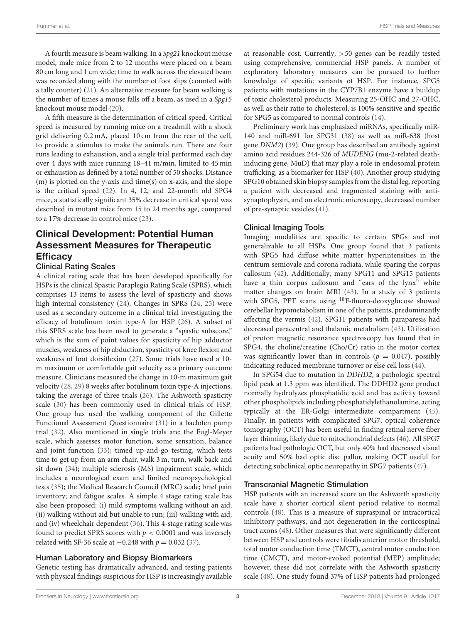A fourth measure is beam walking. In a Spg21 knockout mouse model, male mice from 2 to 12 months were placed on a beam 80 cm long and 1 cm wide; time to walk across the elevated beam was recorded along with the number of foot slips (counted with a tally counter) [\(21\)](#page-8-8). An alternative measure for beam walking is the number of times a mouse falls off a beam, as used in a Spg15 knockout mouse model [\(20\)](#page-8-7).

A fifth measure is the determination of critical speed. Critical speed is measured by running mice on a treadmill with a shock grid delivering 0.2 mA, placed 10 cm from the rear of the cell, to provide a stimulus to make the animals run. There are four runs leading to exhaustion, and a single trial performed each day over 4 days with mice running 18–41 m/min, limited to 45 min or exhaustion as defined by a total number of 50 shocks. Distance (m) is plotted on the y-axis and time(s) on x-axis, and the slope is the critical speed [\(22\)](#page-8-9). In 4, 12, and 22-month old SPG4 mice, a statistically significant 35% decrease in critical speed was described in mutant mice from 15 to 24 months age, compared to a 17% decrease in control mice [\(23\)](#page-8-10).

# Clinical Development: Potential Human Assessment Measures for Therapeutic **Efficacy**

#### Clinical Rating Scales

A clinical rating scale that has been developed specifically for HSPs is the clinical Spastic Paraplegia Rating Scale (SPRS), which comprises 13 items to assess the level of spasticity and shows high internal consistency [\(24\)](#page-8-11). Changes in SPRS [\(24,](#page-8-11) [25\)](#page-8-12) were used as a secondary outcome in a clinical trial investigating the efficacy of botulinum toxin type-A for HSP [\(26\)](#page-8-13). A subset of this SPRS scale has been used to generate a "spastic subscore," which is the sum of point values for spasticity of hip adductor muscles, weakness of hip abduction, spasticity of knee flexion and weakness of foot dorsiflexion [\(27\)](#page-8-14). Some trials have used a 10 m maximum or comfortable gait velocity as a primary outcome measure. Clinicians measured the change in 10-m maximum gait velocity [\(28,](#page-8-15) [29\)](#page-8-16) 8 weeks after botulinum toxin type-A injections, taking the average of three trials [\(26\)](#page-8-13). The Ashworth spasticity scale [\(30\)](#page-8-17) has been commonly used in clinical trials of HSP. One group has used the walking component of the Gillette Functional Assessment Questionnaire [\(31\)](#page-8-18) in a baclofen pump trial [\(32\)](#page-8-19). Also mentioned in single trials are: the Fugl-Meyer scale, which assesses motor function, some sensation, balance and joint function [\(33\)](#page-8-20); timed up-and-go testing, which tests time to get up from an arm chair, walk 3 m, turn, walk back and sit down [\(34\)](#page-8-21); multiple sclerosis (MS) impairment scale, which includes a neurological exam and limited neuropsychological tests [\(35\)](#page-8-22); the Medical Research Council (MRC) scale; brief pain inventory; and fatigue scales. A simple 4 stage rating scale has also been proposed: (i) mild symptoms walking without an aid; (ii) walking without aid but unable to run; (iii) walking with aid; and (iv) wheelchair dependent [\(36\)](#page-8-23). This 4-stage rating scale was found to predict SPRS scores with  $p < 0.0001$  and was inversely related with SF-36 scale at  $-0.248$  with  $p = 0.032$  [\(37\)](#page-8-24).

## Human Laboratory and Biopsy Biomarkers

Genetic testing has dramatically advanced, and testing patients with physical findings suspicious for HSP is increasingly available at reasonable cost. Currently, >50 genes can be readily tested using comprehensive, commercial HSP panels. A number of exploratory laboratory measures can be pursued to further knowledge of specific variants of HSP. For instance, SPG5 patients with mutations in the CYP7B1 enzyme have a buildup of toxic cholesterol products. Measuring 25-OHC and 27-OHC, as well as their ratio to cholesterol, is 100% sensitive and specific for SPG5 as compared to normal controls [\(14\)](#page-8-25).

Preliminary work has emphasized miRNAs, specifically miR-140 and miR-691 for SPG31 [\(38\)](#page-8-26) as well as miR-638 (host gene DNM2) [\(39\)](#page-8-27). One group has described an antibody against amino acid residues 244-326 of MUDENG (mu-2-related deathinducing gene, MuD) that may play a role in endosomal protein trafficking, as a biomarker for HSP [\(40\)](#page-8-28). Another group studying SPG10 obtained skin biopsy samples from the distal leg, reporting a patient with decreased and fragmented staining with antisynaptophysin, and on electronic microscopy, decreased number of pre-synaptic vesicles [\(41\)](#page-8-29).

#### Clinical Imaging Tools

Imaging modalities are specific to certain SPGs and not generalizable to all HSPs. One group found that 3 patients with SPG5 had diffuse white matter hyperintensities in the centrum semiovale and corona radiata, while sparing the corpus callosum [\(42\)](#page-8-30). Additionally, many SPG11 and SPG15 patients have a thin corpus callosum and "ears of the lynx" white matter changes on brain MRI [\(43\)](#page-8-31). In a study of 3 patients with SPG5, PET scans using <sup>18</sup>F-fluoro-deoxyglucose showed cerebellar hypometabolism in one of the patients, predominantly affecting the vermis [\(42\)](#page-8-30). SPG11 patients with paraparesis had decreased paracentral and thalamic metabolism [\(43\)](#page-8-31). Utilization of proton magnetic resonance spectroscopy has found that in SPG4, the choline/creatine (Cho/Cr) ratio in the motor cortex was significantly lower than in controls ( $p = 0.047$ ), possibly indicating reduced membrane turnover or else cell loss [\(44\)](#page-8-32).

In SPG54 due to mutation in DDHD2, a pathologic spectral lipid peak at 1.3 ppm was identified. The DDHD2 gene product normally hydrolyzes phosphatidic acid and has activity toward other phospholipids including phosphatidylethanolamine, acting typically at the ER-Golgi intermediate compartment [\(45\)](#page-8-33). Finally, in patients with complicated SPG7, optical coherence tomography (OCT) has been useful in finding retinal nerve fiber layer thinning, likely due to mitochondrial defects [\(46\)](#page-8-34). All SPG7 patients had pathologic OCT, but only 40% had decreased visual acuity and 50% had optic disc pallor, making OCT useful for detecting subclinical optic neuropathy in SPG7 patients [\(47\)](#page-8-35).

## Transcranial Magnetic Stimulation

HSP patients with an increased score on the Ashworth spasticity scale have a shorter cortical silent period relative to normal controls [\(48\)](#page-8-36). This is a measure of supraspinal or intracortical inhibitory pathways, and not degeneration in the corticospinal tract axons [\(48\)](#page-8-36). Other measures that were significantly different between HSP and controls were tibialis anterior motor threshold, total motor conduction time (TMCT), central motor conduction time (CMCT), and motor-evoked potential (MEP) amplitude; however, these did not correlate with the Ashworth spasticity scale [\(48\)](#page-8-36). One study found 37% of HSP patients had prolonged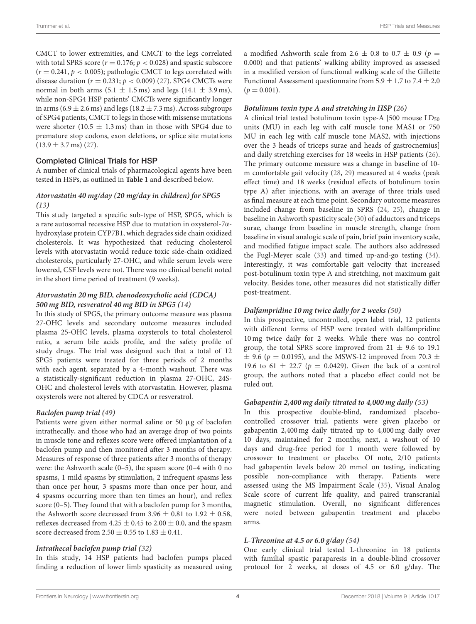CMCT to lower extremities, and CMCT to the legs correlated with total SPRS score ( $r = 0.176$ ;  $p < 0.028$ ) and spastic subscore  $(r = 0.241, p < 0.005)$ ; pathologic CMCT to legs correlated with disease duration ( $r = 0.231$ ;  $p < 0.009$ ) [\(27\)](#page-8-14). SPG4 CMCTs were normal in both arms  $(5.1 \pm 1.5 \,\text{ms})$  and legs  $(14.1 \pm 3.9 \,\text{ms})$ , while non-SPG4 HSP patients' CMCTs were significantly longer in arms (6.9  $\pm$  2.6 ms) and legs (18.2  $\pm$  7.3 ms). Across subgroups of SPG4 patients, CMCT to legs in those with missense mutations were shorter (10.5  $\pm$  1.3 ms) than in those with SPG4 due to premature stop codons, exon deletions, or splice site mutations  $(13.9 \pm 3.7 \,\text{ms})$  [\(27\)](#page-8-14).

#### Completed Clinical Trials for HSP

A number of clinical trials of pharmacological agents have been tested in HSPs, as outlined in **[Table 1](#page-4-0)** and described below.

#### **Atorvastatin 40 mg/day (20 mg/day in children) for SPG5 [\(13\)](#page-8-1)**

This study targeted a specific sub-type of HSP, SPG5, which is a rare autosomal recessive HSP due to mutation in oxysterol-7αhydroxylase protein CYP7B1, which degrades side chain oxidized cholesterols. It was hypothesized that reducing cholesterol levels with atorvastatin would reduce toxic side-chain oxidized cholesterols, particularly 27-OHC, and while serum levels were lowered, CSF levels were not. There was no clinical benefit noted in the short time period of treatment (9 weeks).

## **Atorvastatin 20 mg BID, chenodeoxycholic acid (CDCA) 500 mg BID, resveratrol 40 mg BID in SPG5 [\(14\)](#page-8-25)**

In this study of SPG5, the primary outcome measure was plasma 27-OHC levels and secondary outcome measures included plasma 25-OHC levels, plasma oxysterols to total cholesterol ratio, a serum bile acids profile, and the safety profile of study drugs. The trial was designed such that a total of 12 SPG5 patients were treated for three periods of 2 months with each agent, separated by a 4-month washout. There was a statistically-significant reduction in plasma 27-OHC, 24S-OHC and cholesterol levels with atorvastatin. However, plasma oxysterols were not altered by CDCA or resveratrol.

#### **Baclofen pump trial [\(49\)](#page-8-37)**

Patients were given either normal saline or 50 µg of baclofen intrathecally, and those who had an average drop of two points in muscle tone and reflexes score were offered implantation of a baclofen pump and then monitored after 3 months of therapy. Measures of response of three patients after 3 months of therapy were: the Ashworth scale (0–5), the spasm score (0–4 with 0 no spasms, 1 mild spasms by stimulation, 2 infrequent spasms less than once per hour, 3 spasms more than once per hour, and 4 spasms occurring more than ten times an hour), and reflex score (0–5). They found that with a baclofen pump for 3 months, the Ashworth score decreased from 3.96  $\pm$  0.81 to 1.92  $\pm$  0.58, reflexes decreased from  $4.25 \pm 0.45$  to  $2.00 \pm 0.0$ , and the spasm score decreased from  $2.50 \pm 0.55$  to  $1.83 \pm 0.41$ .

#### **Intrathecal baclofen pump trial [\(32\)](#page-8-19)**

In this study, 14 HSP patients had baclofen pumps placed finding a reduction of lower limb spasticity as measured using a modified Ashworth scale from 2.6  $\pm$  0.8 to 0.7  $\pm$  0.9 (p = 0.000) and that patients' walking ability improved as assessed in a modified version of functional walking scale of the Gillette Functional Assessment questionnaire from 5.9  $\pm$  1.7 to 7.4  $\pm$  2.0  $(p = 0.001)$ .

#### **Botulinum toxin type A and stretching in HSP [\(26\)](#page-8-13)**

A clinical trial tested botulinum toxin type-A  $[500$  mouse  $LD_{50}$ units (MU) in each leg with calf muscle tone MAS1 or 750 MU in each leg with calf muscle tone MAS2, with injections over the 3 heads of triceps surae and heads of gastrocnemius] and daily stretching exercises for 18 weeks in HSP patients [\(26\)](#page-8-13). The primary outcome measure was a change in baseline of 10 m comfortable gait velocity [\(28,](#page-8-15) [29\)](#page-8-16) measured at 4 weeks (peak effect time) and 18 weeks (residual effects of botulinum toxin type A) after injections, with an average of three trials used as final measure at each time point. Secondary outcome measures included change from baseline in SPRS [\(24,](#page-8-11) [25\)](#page-8-12), change in baseline in Ashworth spasticity scale [\(30\)](#page-8-17) of adductors and triceps surae, change from baseline in muscle strength, change from baseline in visual analogic scale of pain, brief pain inventory scale, and modified fatigue impact scale. The authors also addressed the Fugl-Meyer scale [\(33\)](#page-8-20) and timed up-and-go testing [\(34\)](#page-8-21). Interestingly, it was comfortable gait velocity that increased post-botulinum toxin type A and stretching, not maximum gait velocity. Besides tone, other measures did not statistically differ post-treatment.

#### **Dalfampridine 10 mg twice daily for 2 weeks [\(50\)](#page-8-38)**

In this prospective, uncontrolled, open label trial, 12 patients with different forms of HSP were treated with dalfampridine 10 mg twice daily for 2 weeks. While there was no control group, the total SPRS score improved from  $21 \pm 9.6$  to 19.1  $\pm$  9.6 (p = 0.0195), and the MSWS-12 improved from 70.3  $\pm$ 19.6 to 61  $\pm$  22.7 ( $p = 0.0429$ ). Given the lack of a control group, the authors noted that a placebo effect could not be ruled out.

#### **Gabapentin 2,400 mg daily titrated to 4,000 mg daily [\(53\)](#page-9-0)**

In this prospective double-blind, randomized placebocontrolled crossover trial, patients were given placebo or gabapentin 2,400 mg daily titrated up to 4,000 mg daily over 10 days, maintained for 2 months; next, a washout of 10 days and drug-free period for 1 month were followed by crossover to treatment or placebo. Of note, 2/10 patients had gabapentin levels below 20 mmol on testing, indicating possible non-compliance with therapy. Patients were assessed using the MS Impairment Scale [\(35\)](#page-8-22), Visual Analog Scale score of current life quality, and paired transcranial magnetic stimulation. Overall, no significant differences were noted between gabapentin treatment and placebo arms.

#### **L-Threonine at 4.5 or 6.0 g/day [\(54\)](#page-9-1)**

One early clinical trial tested L-threonine in 18 patients with familial spastic paraparesis in a double-blind crossover protocol for 2 weeks, at doses of 4.5 or 6.0 g/day. The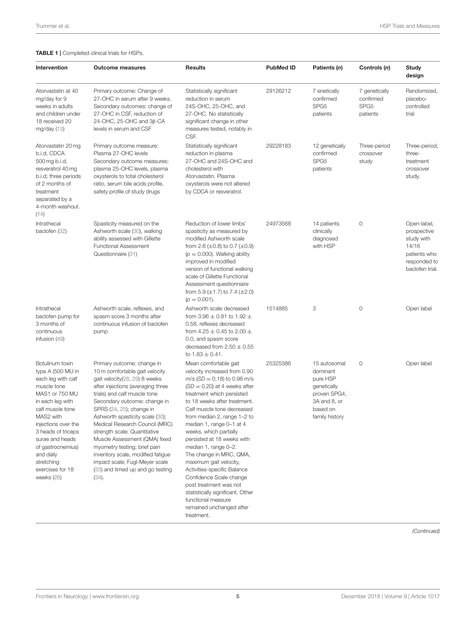<span id="page-4-0"></span>

| Intervention                                                                                                                                                                                                                                                                                         | <b>Outcome measures</b>                                                                                                                                                                                                                                                                                                                                                                                                                                                                                                  | <b>Results</b>                                                                                                                                                                                                                                                                                                                                                                                                                                                                                                                                                                                                | <b>PubMed ID</b> | Patients (n)                                                                                                      | Controls (n)                                               | Study<br>design                                                                                      |
|------------------------------------------------------------------------------------------------------------------------------------------------------------------------------------------------------------------------------------------------------------------------------------------------------|--------------------------------------------------------------------------------------------------------------------------------------------------------------------------------------------------------------------------------------------------------------------------------------------------------------------------------------------------------------------------------------------------------------------------------------------------------------------------------------------------------------------------|---------------------------------------------------------------------------------------------------------------------------------------------------------------------------------------------------------------------------------------------------------------------------------------------------------------------------------------------------------------------------------------------------------------------------------------------------------------------------------------------------------------------------------------------------------------------------------------------------------------|------------------|-------------------------------------------------------------------------------------------------------------------|------------------------------------------------------------|------------------------------------------------------------------------------------------------------|
| Atorvastatin at 40<br>mg/day for 9<br>weeks in adults<br>and children under<br>18 received 20<br>mg/day $(13)$                                                                                                                                                                                       | Primary outcome: Change of<br>27-OHC in serum after 9 weeks.<br>Secondary outcomes: change of<br>27-OHC in CSF, reduction of<br>24-OHC, 25-OHC and $3\beta$ -CA<br>levels in serum and CSF                                                                                                                                                                                                                                                                                                                               | Statistically significant<br>reduction in serum<br>24S-OHC, 25-OHC, and<br>27-OHC. No statistically<br>significant change in other<br>measures tested, notably in<br>CSF.                                                                                                                                                                                                                                                                                                                                                                                                                                     | 29126212         | 7 enetically<br>confirmed<br>SPG <sub>5</sub><br>patients                                                         | 7 genetically<br>confirmed<br>SPG <sub>5</sub><br>patients | Randomized,<br>placebo-<br>controlled<br>trial                                                       |
| Atorvastatin 20 mg<br>b.i.d, CDCA<br>500 mg b.i.d,<br>resveratrol 40 mg<br>b.i.d; three periods<br>of 2 months of<br>treatment<br>separated by a<br>4-month washout.<br>(14)                                                                                                                         | Primary outcome measure:<br>Plasma 27-OHC levels<br>Secondary outcome measures:<br>plasma 25-OHC levels, plasma<br>oxysterols to total cholesterol<br>ratio, serum bile acids profile,<br>safety profile of study drugs                                                                                                                                                                                                                                                                                                  | Statistically significant<br>reduction in plasma<br>27-OHC and 24S-OHC and<br>cholesterol with<br>Atorvastatin. Plasma<br>oxysterols were not altered<br>by CDCA or resveratrol.                                                                                                                                                                                                                                                                                                                                                                                                                              | 29228183         | 12 genetically<br>confirmed<br>SPG <sub>5</sub><br>patients                                                       | Three-period<br>crossover<br>study                         | Three-period,<br>three-<br>treatment<br>crossover<br>study.                                          |
| Intrathecal<br>baclofen (32)                                                                                                                                                                                                                                                                         | Spasticity measured on the<br>Ashworth scale (30), walking<br>ability assessed with Gillette<br><b>Functional Assessment</b><br>Questionnaire (31)                                                                                                                                                                                                                                                                                                                                                                       | Reduction of lower limbs'<br>spasticity as measured by<br>modified Ashworth scale<br>from 2.6 $(\pm 0.8)$ to 0.7 $(\pm 0.9)$<br>$(p = 0.000)$ . Walking ability<br>improved in modified<br>version of functional walking<br>scale of Gillette Functional<br>Assessment questionnaire<br>from 5.9 $(\pm 1.7)$ to 7.4 $(\pm 2.0)$<br>$(p = 0.001)$ .                                                                                                                                                                                                                                                            | 24973568         | 14 patients<br>clinically<br>diagnosed<br>with HSP                                                                | 0                                                          | Open-label,<br>prospective<br>study with<br>14/16<br>patients who<br>responded to<br>baclofen trial. |
| Intrathecal<br>baclofen pump for<br>3 months of<br>continuous<br>infusion $(49)$                                                                                                                                                                                                                     | Ashworth scale, reflexes, and<br>spasm score 3 months after<br>continuous infusion of baclofen<br>pump                                                                                                                                                                                                                                                                                                                                                                                                                   | Ashworth scale decreased<br>from 3.96 $\pm$ 0.81 to 1.92 $\pm$<br>0.58, reflexes decreased<br>from 4.25 $\pm$ 0.45 to 2.00 $\pm$<br>0.0, and spasm score<br>decreased from $2.50 \pm 0.55$<br>to $1.83 \pm 0.41$ .                                                                                                                                                                                                                                                                                                                                                                                            | 1514885          | 3                                                                                                                 | 0                                                          | Open label                                                                                           |
| Botulinum toxin<br>type A (500 MU in<br>each leg with calf<br>muscle tone<br>MAS1 or 750 MU<br>in each leg with<br>calf muscle tone<br>MAS2 with<br>injections over the<br>3 heads of triceps<br>surae and heads<br>of gastrocnemius)<br>and daily<br>stretching<br>exercises for 18<br>weeks $(26)$ | Primary outcome: change in<br>10 m comfortable gait velocity<br>gait velocity(28, 29) 8 weeks<br>after injections (averaging three<br>trials) and calf muscle tone<br>Secondary outcome: change in<br>SPRS (24, 25); change in<br>Ashworth spasticity scale (30);<br>Medical Research Council (MRC)<br>strength scale; Quantitative<br>Muscle Assessment (QMA) fixed<br>myometry testing; brief pain<br>inventory scale, modified fatigue<br>impact scale; Fugl-Meyer scale<br>(33) and timed up and go testing<br>(34). | Mean comfortable gait<br>velocity increased from 0.90<br>m/s ( $SD = 0.18$ ) to 0.98 m/s<br>$(SD = 0.20)$ at 4 weeks after<br>treatment which persisted<br>to 18 weeks after treatment.<br>Calf muscle tone decreased<br>from median 2, range 1-2 to<br>median 1, range 0-1 at 4<br>weeks, which partially<br>persisted at 18 weeks with<br>median 1, range 0-2.<br>The change in MRC, QMA,<br>maximum gait velocity,<br>Activities-specific Balance<br>Confidence Scale change<br>post treatment was not<br>statistically significant. Other<br>functional measure<br>remained unchanged after<br>treatment. | 25325386         | 15 autosomal<br>dominant<br>pure HSP<br>genetically<br>proven SPG4,<br>3A and 8, or<br>based on<br>family history | 0                                                          | Open label                                                                                           |

*(Continued)*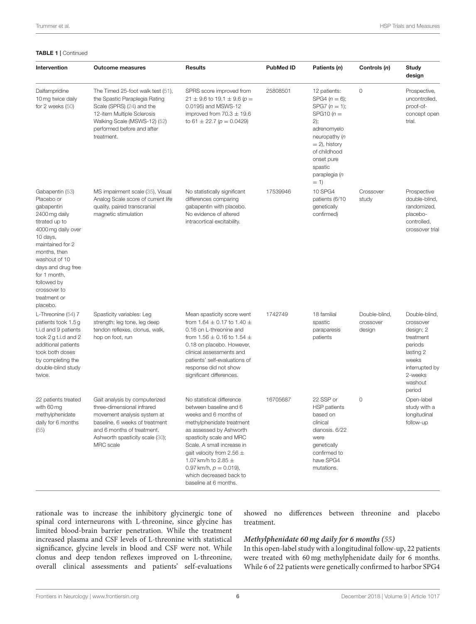#### TABLE 1 | Continued

| Intervention                                                                                                                                                                                                                                                           | <b>Outcome measures</b>                                                                                                                                                                                    | <b>Results</b>                                                                                                                                                                                                                                                                                                                              | <b>PubMed ID</b> | Patients (n)                                                                                                                                                                                     | Controls (n)                         | <b>Study</b><br>design                                                                                                                  |
|------------------------------------------------------------------------------------------------------------------------------------------------------------------------------------------------------------------------------------------------------------------------|------------------------------------------------------------------------------------------------------------------------------------------------------------------------------------------------------------|---------------------------------------------------------------------------------------------------------------------------------------------------------------------------------------------------------------------------------------------------------------------------------------------------------------------------------------------|------------------|--------------------------------------------------------------------------------------------------------------------------------------------------------------------------------------------------|--------------------------------------|-----------------------------------------------------------------------------------------------------------------------------------------|
| Dalfampridine<br>10 mg twice daily<br>for $2$ weeks $(50)$                                                                                                                                                                                                             | The Timed 25-foot walk test (51),<br>the Spastic Paraplegia Rating<br>Scale (SPRS) (24) and the<br>12-item Multiple Sclerosis<br>Walking Scale (MSWS-12) (52)<br>performed before and after<br>treatment.  | SPRS score improved from<br>$21 \pm 9.6$ to 19.1 $\pm$ 9.6 (p =<br>0.0195) and MSWS-12<br>improved from $70.3 \pm 19.6$<br>to 61 $\pm$ 22.7 ( $p = 0.0429$ )                                                                                                                                                                                | 25808501         | 12 patients:<br>$SPG4 (n = 6);$<br>SPG7 $(n = 1)$ ;<br>SPG10 $(n=$<br>2);<br>adrenomyelo<br>neuropathy (n<br>$= 2$ ), history<br>of childhood<br>onset pure<br>spastic<br>paraplegia (n<br>$= 1$ | 0                                    | Prospective,<br>uncontrolled,<br>proof-of-<br>concept open<br>trial.                                                                    |
| Gabapentin (53)<br>Placebo or<br>gabapentin<br>2400 mg daily<br>titrated up to<br>4000 mg daily over<br>10 days,<br>maintained for 2<br>months, then<br>washout of 10<br>days and drug free<br>for 1 month,<br>followed by<br>crossover to<br>treatment or<br>placebo. | MS impairment scale (35), Visual<br>Analog Scale score of current life<br>quality, paired transcranial<br>magnetic stimulation                                                                             | No statistically significant<br>differences comparing<br>gabapentin with placebo.<br>No evidence of altered<br>intracortical excitability.                                                                                                                                                                                                  | 17539946         | 10 SPG4<br>patients (6/10<br>genetically<br>confirmed)                                                                                                                                           | Crossover<br>study                   | Prospective<br>double-blind,<br>randomized,<br>placebo-<br>controlled,<br>crossover trial                                               |
| L-Threonine (54) 7<br>patients took 1.5 g<br>t.i.d and 9 patients<br>took 2 g t.i.d and 2<br>additional patients<br>took both doses<br>by completing the<br>double-blind study<br>twice.                                                                               | Spasticity variables: Leg<br>strength; leg tone, leg deep<br>tendon reflexes, clonus, walk,<br>hop on foot, run                                                                                            | Mean spasticity score went<br>from 1.64 $\pm$ 0.17 to 1.40 $\pm$<br>0.16 on L-threonine and<br>from 1.56 $\pm$ 0.16 to 1.54 $\pm$<br>0.18 on placebo. However,<br>clinical assessments and<br>patients' self-evaluations of<br>response did not show<br>significant differences.                                                            | 1742749          | 18 familial<br>spastic<br>paraparesis<br>patients                                                                                                                                                | Double-blind,<br>crossover<br>design | Double-blind,<br>crossover<br>design; 2<br>treatment<br>periods<br>lasting 2<br>weeks<br>interrupted by<br>2-weeks<br>washout<br>period |
| 22 patients treated<br>with 60 mg<br>methylphenidate<br>daily for 6 months<br>(55)                                                                                                                                                                                     | Gait analysis by computerized<br>three-dimensional infrared<br>movement analysis system at<br>baseline, 6 weeks of treatment<br>and 6 months of treatment.<br>Ashworth spasticity scale (30);<br>MRC scale | No statistical difference<br>between baseline and 6<br>weeks and 6 months of<br>methylphenidate treatment<br>as assessed by Ashworth<br>spasticity scale and MRC<br>Scale. A small increase in<br>gait velocity from 2.56 $\pm$<br>1.07 km/h to 2.85 $\pm$<br>0.97 km/h, $p = 0.019$ ),<br>which decreased back to<br>baseline at 6 months. | 16705687         | 22 SSP or<br><b>HSP</b> patients<br>based on<br>clinical<br>dianosis. 6/22<br>were<br>genetically<br>confirmed to<br>have SPG4<br>mutations.                                                     | 0                                    | Open-label<br>study with a<br>longitudinal<br>follow-up                                                                                 |

rationale was to increase the inhibitory glycinergic tone of spinal cord interneurons with L-threonine, since glycine has limited blood-brain barrier penetration. While the treatment increased plasma and CSF levels of L-threonine with statistical significance, glycine levels in blood and CSF were not. While clonus and deep tendon reflexes improved on L-threonine, overall clinical assessments and patients' self-evaluations

showed no differences between threonine and placebo treatment.

#### **Methylphenidate 60 mg daily for 6 months [\(55\)](#page-9-4)**

In this open-label study with a longitudinal follow-up, 22 patients were treated with 60 mg methylphenidate daily for 6 months. While 6 of 22 patients were genetically confirmed to harbor SPG4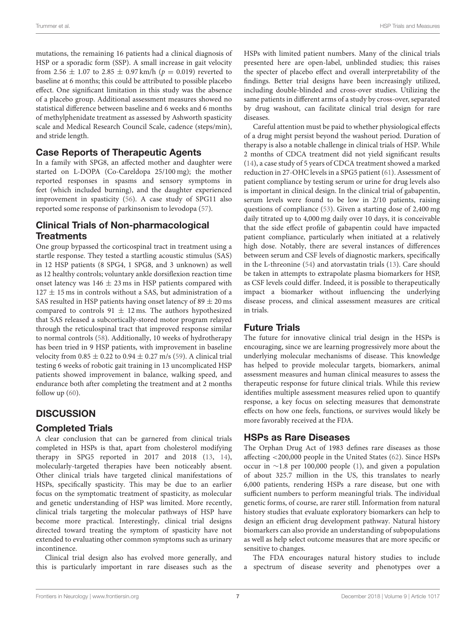mutations, the remaining 16 patients had a clinical diagnosis of HSP or a sporadic form (SSP). A small increase in gait velocity from 2.56  $\pm$  1.07 to 2.85  $\pm$  0.97 km/h ( $p = 0.019$ ) reverted to baseline at 6 months; this could be attributed to possible placebo effect. One significant limitation in this study was the absence of a placebo group. Additional assessment measures showed no statistical difference between baseline and 6 weeks and 6 months of methylphenidate treatment as assessed by Ashworth spasticity scale and Medical Research Council Scale, cadence (steps/min), and stride length.

# Case Reports of Therapeutic Agents

In a family with SPG8, an affected mother and daughter were started on L-DOPA (Co-Careldopa 25/100 mg); the mother reported responses in spasms and sensory symptoms in feet (which included burning), and the daughter experienced improvement in spasticity [\(56\)](#page-9-5). A case study of SPG11 also reported some response of parkinsonism to levodopa [\(57\)](#page-9-6).

# Clinical Trials of Non-pharmacological **Treatments**

One group bypassed the corticospinal tract in treatment using a startle response. They tested a startling acoustic stimulus (SAS) in 12 HSP patients (8 SPG4, 1 SPG8, and 3 unknown) as well as 12 healthy controls; voluntary ankle dorsiflexion reaction time onset latency was 146  $\pm$  23 ms in HSP patients compared with  $127 \pm 15$  ms in controls without a SAS, but administration of a SAS resulted in HSP patients having onset latency of  $89 \pm 20$  ms compared to controls  $91 \pm 12$  ms. The authors hypothesized that SAS released a subcortically-stored motor program relayed through the reticulospinal tract that improved response similar to normal controls [\(58\)](#page-9-7). Additionally, 10 weeks of hydrotherapy has been tried in 9 HSP patients, with improvement in baseline velocity from  $0.85 \pm 0.22$  to  $0.94 \pm 0.27$  m/s [\(59\)](#page-9-8). A clinical trial testing 6 weeks of robotic gait training in 13 uncomplicated HSP patients showed improvement in balance, walking speed, and endurance both after completing the treatment and at 2 months follow up [\(60\)](#page-9-9).

# **DISCUSSION**

## Completed Trials

A clear conclusion that can be garnered from clinical trials completed in HSPs is that, apart from cholesterol modifying therapy in SPG5 reported in 2017 and 2018 [\(13,](#page-8-1) [14\)](#page-8-25), molecularly-targeted therapies have been noticeably absent. Other clinical trials have targeted clinical manifestations of HSPs, specifically spasticity. This may be due to an earlier focus on the symptomatic treatment of spasticity, as molecular and genetic understanding of HSP was limited. More recently, clinical trials targeting the molecular pathways of HSP have become more practical. Interestingly, clinical trial designs directed toward treating the symptom of spasticity have not extended to evaluating other common symptoms such as urinary incontinence.

Clinical trial design also has evolved more generally, and this is particularly important in rare diseases such as the HSPs with limited patient numbers. Many of the clinical trials presented here are open-label, unblinded studies; this raises the specter of placebo effect and overall interpretability of the findings. Better trial designs have been increasingly utilized, including double-blinded and cross-over studies. Utilizing the same patients in different arms of a study by cross-over, separated by drug washout, can facilitate clinical trial design for rare diseases.

Careful attention must be paid to whether physiological effects of a drug might persist beyond the washout period. Duration of therapy is also a notable challenge in clinical trials of HSP. While 2 months of CDCA treatment did not yield significant results [\(14\)](#page-8-25), a case study of 5 years of CDCA treatment showed a marked reduction in 27-OHC levels in a SPG5 patient [\(61\)](#page-9-10). Assessment of patient compliance by testing serum or urine for drug levels also is important in clinical design. In the clinical trial of gabapentin, serum levels were found to be low in 2/10 patients, raising questions of compliance [\(53\)](#page-9-0). Given a starting dose of 2,400 mg daily titrated up to 4,000 mg daily over 10 days, it is conceivable that the side effect profile of gabapentin could have impacted patient compliance, particularly when initiated at a relatively high dose. Notably, there are several instances of differences between serum and CSF levels of diagnostic markers, specifically in the L-threonine [\(54\)](#page-9-1) and atorvastatin trials [\(13\)](#page-8-1). Care should be taken in attempts to extrapolate plasma biomarkers for HSP, as CSF levels could differ. Indeed, it is possible to therapeutically impact a biomarker without influencing the underlying disease process, and clinical assessment measures are critical in trials.

# Future Trials

The future for innovative clinical trial design in the HSPs is encouraging, since we are learning progressively more about the underlying molecular mechanisms of disease. This knowledge has helped to provide molecular targets, biomarkers, animal assessment measures and human clinical measures to assess the therapeutic response for future clinical trials. While this review identifies multiple assessment measures relied upon to quantify response, a key focus on selecting measures that demonstrate effects on how one feels, functions, or survives would likely be more favorably received at the FDA.

# HSPs as Rare Diseases

The Orphan Drug Act of 1983 defines rare diseases as those affecting <200,000 people in the United States [\(62\)](#page-9-11). Since HSPs occur in ∼1.8 per 100,000 people [\(1\)](#page-7-0), and given a population of about 325.7 million in the US, this translates to nearly 6,000 patients, rendering HSPs a rare disease, but one with sufficient numbers to perform meaningful trials. The individual genetic forms, of course, are rarer still. Information from natural history studies that evaluate exploratory biomarkers can help to design an efficient drug development pathway. Natural history biomarkers can also provide an understanding of subpopulations as well as help select outcome measures that are more specific or sensitive to changes.

The FDA encourages natural history studies to include a spectrum of disease severity and phenotypes over a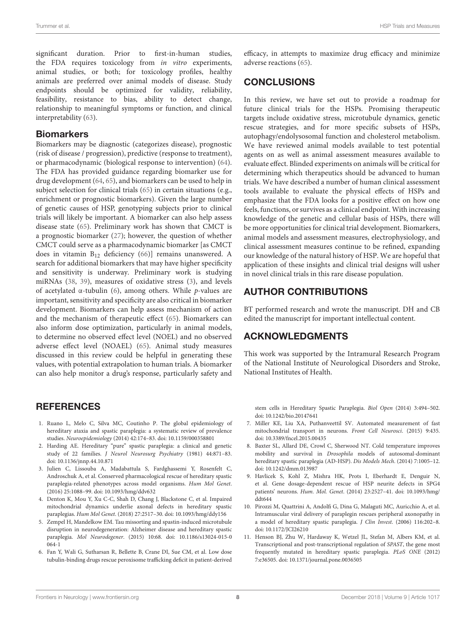significant duration. Prior to first-in-human studies, the FDA requires toxicology from in vitro experiments, animal studies, or both; for toxicology profiles, healthy animals are preferred over animal models of disease. Study endpoints should be optimized for validity, reliability, feasibility, resistance to bias, ability to detect change, relationship to meaningful symptoms or function, and clinical interpretability [\(63\)](#page-9-12).

#### **Biomarkers**

Biomarkers may be diagnostic (categorizes disease), prognostic (risk of disease / progression), predictive (response to treatment), or pharmacodynamic (biological response to intervention) [\(64\)](#page-9-13). The FDA has provided guidance regarding biomarker use for drug development [\(64,](#page-9-13) [65\)](#page-9-14), and biomarkers can be used to help in subject selection for clinical trials [\(65\)](#page-9-14) in certain situations (e.g., enrichment or prognostic biomarkers). Given the large number of genetic causes of HSP, genotyping subjects prior to clinical trials will likely be important. A biomarker can also help assess disease state [\(65\)](#page-9-14). Preliminary work has shown that CMCT is a prognostic biomarker [\(27\)](#page-8-14); however, the question of whether CMCT could serve as a pharmacodynamic biomarker [as CMCT does in vitamin B<sup>12</sup> deficiency [\(66\)](#page-9-15)] remains unanswered. A search for additional biomarkers that may have higher specificity and sensitivity is underway. Preliminary work is studying miRNAs [\(38,](#page-8-26) [39\)](#page-8-27), measures of oxidative stress [\(3\)](#page-7-2), and levels of acetylated α-tubulin [\(6\)](#page-7-6), among others. While p-values are important, sensitivity and specificity are also critical in biomarker development. Biomarkers can help assess mechanism of action and the mechanism of therapeutic effect [\(65\)](#page-9-14). Biomarkers can also inform dose optimization, particularly in animal models, to determine no observed effect level (NOEL) and no observed adverse effect level (NOAEL) [\(65\)](#page-9-14). Animal study measures discussed in this review could be helpful in generating these values, with potential extrapolation to human trials. A biomarker can also help monitor a drug's response, particularly safety and

## **REFERENCES**

- <span id="page-7-0"></span>1. Ruano L, Melo C, Silva MC, Coutinho P. The global epidemiology of hereditary ataxia and spastic paraplegia: a systematic review of prevalence studies. Neuroepidemiology (2014) 42:174–83. doi: [10.1159/000358801](https://doi.org/10.1159/000358801)
- <span id="page-7-1"></span>2. Harding AE. Hereditary "pure" spastic paraplegia: a clinical and genetic study of 22 families. J Neurol Neurosurg Psychiatry (1981) 44:871-83. doi: [10.1136/jnnp.44.10.871](https://doi.org/10.1136/jnnp.44.10.871)
- <span id="page-7-2"></span>3. Julien C, Lissouba A, Madabattula S, Fardghassemi Y, Rosenfelt C, Androschuk A, et al. Conserved pharmacological rescue of hereditary spastic paraplegia-related phenotypes across model organisms. Hum Mol Genet. (2016) 25:1088–99. doi: [10.1093/hmg/ddv632](https://doi.org/10.1093/hmg/ddv632)
- <span id="page-7-4"></span>4. Denton K, Mou Y, Xu C-C, Shah D, Chang J, Blackstone C, et al. Impaired mitochondrial dynamics underlie axonal defects in hereditary spastic paraplegias. Hum Mol Genet. (2018) 27:2517–30. doi: [10.1093/hmg/ddy156](https://doi.org/10.1093/hmg/ddy156)
- <span id="page-7-5"></span>5. Zempel H, Mandelkow EM. Tau missorting and spastin-induced microtubule disruption in neurodegeneration: Alzheimer disease and hereditary spastic paraplegia. Mol Neurodegener[. \(2015\) 10:68. doi: 10.1186/s13024-015-0](https://doi.org/10.1186/s13024-015-0064-1) 064-1
- <span id="page-7-6"></span>6. Fan Y, Wali G, Sutharsan R, Bellette B, Crane DI, Sue CM, et al. Low dose tubulin-binding drugs rescue peroxisome trafficking deficit in patient-derived

efficacy, in attempts to maximize drug efficacy and minimize adverse reactions [\(65\)](#page-9-14).

## **CONCLUSIONS**

In this review, we have set out to provide a roadmap for future clinical trials for the HSPs. Promising therapeutic targets include oxidative stress, microtubule dynamics, genetic rescue strategies, and for more specific subsets of HSPs, autophagy/endolysosomal function and cholesterol metabolism. We have reviewed animal models available to test potential agents on as well as animal assessment measures available to evaluate effect. Blinded experiments on animals will be critical for determining which therapeutics should be advanced to human trials. We have described a number of human clinical assessment tools available to evaluate the physical effects of HSPs and emphasize that the FDA looks for a positive effect on how one feels, functions, or survives as a clinical endpoint. With increasing knowledge of the genetic and cellular basis of HSPs, there will be more opportunities for clinical trial development. Biomarkers, animal models and assessment measures, electrophysiology, and clinical assessment measures continue to be refined, expanding our knowledge of the natural history of HSP. We are hopeful that application of these insights and clinical trial designs will usher in novel clinical trials in this rare disease population.

## AUTHOR CONTRIBUTIONS

BT performed research and wrote the manuscript. DH and CB edited the manuscript for important intellectual content.

## ACKNOWLEDGMENTS

This work was supported by the Intramural Research Program of the National Institute of Neurological Disorders and Stroke, National Institutes of Health.

stem cells in Hereditary Spastic Paraplegia. Biol Open (2014) 3:494–502. doi: [10.1242/bio.20147641](https://doi.org/10.1242/bio.20147641)

- <span id="page-7-7"></span>7. Miller KE, Liu XA, Puthanveettil SV. Automated measurement of fast mitochondrial transport in neurons. Front Cell Neurosci. (2015) 9:435. doi: [10.3389/fncel.2015.00435](https://doi.org/10.3389/fncel.2015.00435)
- <span id="page-7-8"></span>8. Baxter SL, Allard DE, Crowl C, Sherwood NT. Cold temperature improves mobility and survival in Drosophila models of autosomal-dominant hereditary spastic paraplegia (AD-HSP). Dis Models Mech. (2014) 7:1005–12. doi: [10.1242/dmm.013987](https://doi.org/10.1242/dmm.013987)
- <span id="page-7-9"></span>9. Havlicek S, Kohl Z, Mishra HK, Prots I, Eberhardt E, Denguir N, et al. Gene dosage-dependent rescue of HSP neurite defects in SPG4 patients' neurons. Hum. Mol. Genet[. \(2014\) 23:2527–41. doi: 10.1093/hmg/](https://doi.org/10.1093/hmg/ddt644) ddt644
- <span id="page-7-10"></span>10. Pirozzi M, Quattrini A, Andolfi G, Dina G, Malaguti MC, Auricchio A, et al. Intramuscular viral delivery of paraplegin rescues peripheral axonopathy in a model of hereditary spastic paraplegia. J Clin Invest. (2006) 116:202–8. doi: [10.1172/JCI26210](https://doi.org/10.1172/JCI26210)
- <span id="page-7-3"></span>11. Henson BJ, Zhu W, Hardaway K, Wetzel JL, Stefan M, Albers KM, et al. Transcriptional and post-transcriptional regulation of SPAST, the gene most frequently mutated in hereditary spastic paraplegia. PLoS ONE (2012) 7:e36505. doi: [10.1371/journal.pone.0036505](https://doi.org/10.1371/journal.pone.0036505)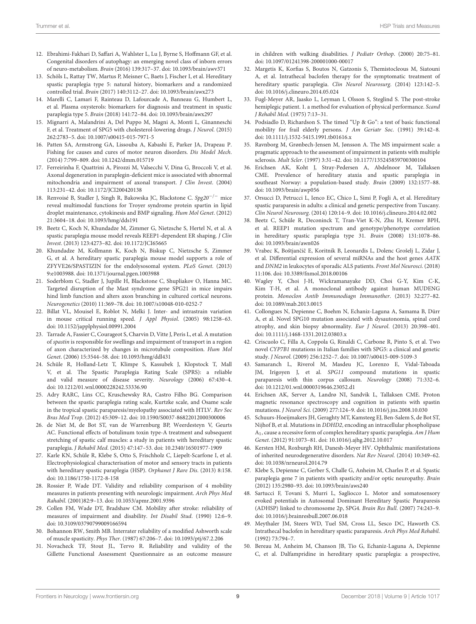- <span id="page-8-0"></span>12. Ebrahimi-Fakhari D, Saffari A, Wahlster L, Lu J, Byrne S, Hoffmann GF, et al. Congenital disorders of autophagy: an emerging novel class of inborn errors of neuro-metabolism. Brain (2016) 139:317–37. doi: [10.1093/brain/awv371](https://doi.org/10.1093/brain/awv371)
- <span id="page-8-1"></span>13. Schöls L, Rattay TW, Martus P, Meisner C, Baets J, Fischer I, et al. Hereditary spastic paraplegia type 5: natural history, biomarkers and a randomized controlled trial. Brain (2017) 140:3112–27. doi: [10.1093/brain/awx273](https://doi.org/10.1093/brain/awx273)
- <span id="page-8-25"></span>14. Marelli C, Lamari F, Rainteau D, Lafourcade A, Banneau G, Humbert L, et al. Plasma oxysterols: biomarkers for diagnosis and treatment in spastic paraplegia type 5. Brain (2018) 141:72–84. doi: [10.1093/brain/awx297](https://doi.org/10.1093/brain/awx297)
- <span id="page-8-2"></span>15. Mignarri A, Malandrini A, Del Puppo M, Magni A, Monti L, Ginanneschi F, et al. Treatment of SPG5 with cholesterol-lowering drugs. J Neurol. (2015) 262:2783–5. doi: [10.1007/s00415-015-7971-5](https://doi.org/10.1007/s00415-015-7971-5)
- <span id="page-8-3"></span>16. Patten SA, Armstrong GA, Lissouba A, Kabashi E, Parker JA, Drapeau P. Fishing for causes and cures of motor neuron disorders. Dis Model Mech. (2014) 7:799–809. doi: [10.1242/dmm.015719](https://doi.org/10.1242/dmm.015719)
- <span id="page-8-4"></span>17. Ferreirinha F, Quattrini A, Pirozzi M, Valsecchi V, Dina G, Broccoli V, et al. Axonal degeneration in paraplegin-deficient mice is associated with abnormal mitochondria and impairment of axonal transport. J Clin Invest. (2004) 113:231–42. doi: [10.1172/JCI200420138](https://doi.org/10.1172/JCI200420138)
- <span id="page-8-5"></span>18. Renvoisé B, Stadler J, Singh R, Bakowska JC, Blackstone C. Spg20−/<sup>−</sup> mice reveal multimodal functions for Troyer syndrome protein spartin in lipid droplet maintenance, cytokinesis and BMP signaling. Hum Mol Genet. (2012) 21:3604–18. doi: [10.1093/hmg/dds191](https://doi.org/10.1093/hmg/dds191)
- <span id="page-8-6"></span>19. Beetz C, Koch N, Khundadze M, Zimmer G, Nietzsche S, Hertel N, et al. A spastic paraplegia mouse model reveals REEP1-dependent ER shaping. J Clin Invest. (2013) 123:4273–82. doi: [10.1172/JCI65665](https://doi.org/10.1172/JCI65665)
- <span id="page-8-7"></span>20. Khundadze M, Kollmann K, Koch N, Biskup C, Nietzsche S, Zimmer G, et al. A hereditary spastic paraplegia mouse model supports a role of ZFYVE26/SPASTIZIN for the endolysosomal system. PLoS Genet. (2013) 9:e1003988. doi: [10.1371/journal.pgen.1003988](https://doi.org/10.1371/journal.pgen.1003988)
- <span id="page-8-8"></span>21. Soderblom C, Stadler J, Jupille H, Blackstone C, Shupliakov O, Hanna MC. Targeted disruption of the Mast syndrome gene SPG21 in mice impairs hind limb function and alters axon branching in cultured cortical neurons. Neurogenetics (2010) 11:369–78. doi: [10.1007/s10048-010-0252-7](https://doi.org/10.1007/s10048-010-0252-7)
- <span id="page-8-9"></span>22. Billat VL, Mouisel E, Roblot N, Melki J. Inter- and intrastrain variation in mouse critical running speed. J Appl Physiol. (2005) 98:1258–63. doi: [10.1152/japplphysiol.00991.2004](https://doi.org/10.1152/japplphysiol.00991.2004)
- <span id="page-8-10"></span>23. Tarrade A, Fassier C, Courageot S, Charvin D, Vitte J, Peris L, et al. A mutation of spastin is responsible for swellings and impairment of transport in a region of axon characterized by changes in microtubule composition. Hum Mol Genet. (2006) 15:3544–58. doi: [10.1093/hmg/ddl431](https://doi.org/10.1093/hmg/ddl431)
- <span id="page-8-11"></span>24. Schüle R, Holland-Letz T, Klimpe S, Kassubek J, Klopstock T, Mall V, et al. The Spastic Paraplegia Rating Scale (SPRS): a reliable and valid measure of disease severity. Neurology (2006) 67:430–4. doi: [10.1212/01.wnl.0000228242.53336.90](https://doi.org/10.1212/01.wnl.0000228242.53336.90)
- <span id="page-8-12"></span>25. Adry RARC, Lins CC, Kruschewsky RA, Castro Filho BG. Comparison between the spastic paraplegia rating scale, Kurtzke scale, and Osame scale in the tropical spastic paraparesis/myelopathy associated with HTLV. Rev Soc Bras Med Trop. (2012) 45:309–12. doi: [10.1590/S0037-86822012000300006](https://doi.org/10.1590/S0037-86822012000300006)
- <span id="page-8-13"></span>26. de Niet M, de Bot ST, van de Warrenburg BP, Weerdesteyn V, Geurts AC. Functional effects of botulinum toxin type-A treatment and subsequent stretching of spastic calf muscles: a study in patients with hereditary spastic paraplegia. J Rehabil Med. (2015) 47:147–53. doi: [10.2340/16501977-1909](https://doi.org/10.2340/16501977-1909)
- <span id="page-8-14"></span>27. Karle KN, Schüle R, Klebe S, Otto S, Frischholz C, Liepelt-Scarfone I, et al. Electrophysiological characterisation of motor and sensory tracts in patients with hereditary spastic paraplegia (HSP). Orphanet J Rare Dis. (2013) 8:158. doi: [10.1186/1750-1172-8-158](https://doi.org/10.1186/1750-1172-8-158)
- <span id="page-8-15"></span>28. Rossier P, Wade DT. Validity and reliability comparison of 4 mobility measures in patients presenting with neurologic impairment. Arch Phys Med Rahabil. (2001)82:9–13. doi: [10.1053/apmr.2001.9396](https://doi.org/10.1053/apmr.2001.9396)
- <span id="page-8-16"></span>29. Collen FM, Wade DT, Bradshaw CM. Mobility after stroke: reliability of measures of impairment and disability. Int Disabil Stud. (1990) 12:6–9. doi: [10.3109/03790799009166594](https://doi.org/10.3109/03790799009166594)
- <span id="page-8-17"></span>30. Bohannon RW, Smith MB. Interrater reliability of a modified Ashworth scale of muscle spasticity. Phys Ther. (1987) 67:206–7. doi: [10.1093/ptj/67.2.206](https://doi.org/10.1093/ptj/67.2.206)
- <span id="page-8-18"></span>31. Novacheck TF, Stout JL, Tervo R. Reliability and validity of the Gillette Functional Assessment Questionnaire as an outcome measure

in children with walking disabilities. J Pediatr Orthop. (2000) 20:75–81. doi: [10.1097/01241398-200001000-00017](https://doi.org/10.1097/01241398-200001000-00017)

- <span id="page-8-19"></span>32. Margetis K, Korfias S, Boutos N, Gatzonis S, Themistocleous M, Siatouni A, et al. Intrathecal baclofen therapy for the symptomatic treatment of hereditary spastic paraplegia. Clin Neurol Neurosurg. (2014) 123:142-5. doi: [10.1016/j.clineuro.2014.05.024](https://doi.org/10.1016/j.clineuro.2014.05.024)
- <span id="page-8-20"></span>33. Fugl-Meyer AR, Jaasko L, Leyman I, Olsson S, Steglind S. The post-stroke hemiplegic patient. 1. a method for evaluation of physical performance. Scand J Rehabil Med. (1975) 7:13–31.
- <span id="page-8-21"></span>34. Podsiadlo D, Richardson S. The timed "Up & Go": a test of basic functional mobility for frail elderly persons. J Am Geriatr Soc. (1991) 39:142–8. doi: [10.1111/j.1532-5415.1991.tb01616.x](https://doi.org/10.1111/j.1532-5415.1991.tb01616.x)
- <span id="page-8-22"></span>35. Ravnborg M, Grønbech-Jensen M, Jønsson A. The MS impairment scale: a pragmatic approach to the assessment of impairment in patients with multiple sclerosis. Mult Scler. (1997) 3:31–42. doi: [10.1177/135245859700300104](https://doi.org/10.1177/135245859700300104)
- <span id="page-8-23"></span>36. Erichsen AK, Koht J, Stray-Pedersen A, Abdelnoor M, Tallaksen CME. Prevalence of hereditary ataxia and spastic paraplegia in southeast Norway: a population-based study. Brain (2009) 132:1577–88. doi: [10.1093/brain/awp056](https://doi.org/10.1093/brain/awp056)
- <span id="page-8-24"></span>37. Orsucci D, Petrucci L, Ienco EC, Chico L, Simi P, Fogli A, et al. Hereditary spastic paraparesis in adults: a clinical and genetic perspective from Tuscany. Clin Neurol Neurosurg. (2014) 120:14–9. doi: [10.1016/j.clineuro.2014.02.002](https://doi.org/10.1016/j.clineuro.2014.02.002)
- <span id="page-8-26"></span>38. Beetz C, Schüle R, Deconinck T, Tran-Viet K-N, Zhu H, Kremer BPH, et al. REEP1 mutation spectrum and genotype/phenotype correlation in hereditary spastic paraplegia type 31. Brain (2008) 131:1078–86. doi: [10.1093/brain/awn026](https://doi.org/10.1093/brain/awn026)
- <span id="page-8-27"></span>39. Vrabec K, Boštjančič E, Koritnik B, Leonardis L, Dolenc Grošelj L, Zidar J, et al. Differential expression of several miRNAs and the host genes AATK and DNM2 in leukocytes of sporadic ALS patients. Front Mol Neurosci. (2018) 11:106. doi: [10.3389/fnmol.2018.00106](https://doi.org/10.3389/fnmol.2018.00106)
- <span id="page-8-28"></span>40. Wagley Y, Choi J-H, Wickramanayake DD, Choi G-Y, Kim C-K, Kim T-H, et al. A monoclonal antibody against human MUDENG protein. Monoclon Antib Immunodiagn Immunother. (2013) 32:277–82. doi: [10.1089/mab.2013.0015](https://doi.org/10.1089/mab.2013.0015)
- <span id="page-8-29"></span>41. Collongues N, Depienne C, Boehm N, Echaniz-Laguna A, Samama B, Dürr A, et al. Novel SPG10 mutation associated with dysautonomia, spinal cord atrophy, and skin biopsy abnormality. Eur J Neurol. (2013) 20:398–401. doi: [10.1111/j.1468-1331.2012.03803.x](https://doi.org/10.1111/j.1468-1331.2012.03803.x)
- <span id="page-8-30"></span>42. Criscuolo C, Filla A, Coppola G, Rinaldi C, Carbone R, Pinto S, et al. Two novel CYP7B1 mutations in Italian families with SPG5: a clinical and genetic study. J Neurol. (2009) 256:1252–7. doi: [10.1007/s00415-009-5109-3](https://doi.org/10.1007/s00415-009-5109-3)
- <span id="page-8-31"></span>43. Samaranch L, Riverol M, Masdeu JC, Lorenzo E, Vidal-Taboada JM, Irigoyen J, et al. SPG11 compound mutations in spastic paraparesis with thin corpus callosum. Neurology (2008) 71:332–6. doi: [10.1212/01.wnl.0000319646.23052.d1](https://doi.org/10.1212/01.wnl.0000319646.23052.d1)
- <span id="page-8-32"></span>44. Erichsen AK, Server A, Landrø NI, Sandvik L, Tallaksen CME. Proton magnetic resonance spectroscopy and cognition in patients with spastin mutations. J Neurol Sci. (2009) 277:124–9. doi: [10.1016/j.jns.2008.10.030](https://doi.org/10.1016/j.jns.2008.10.030)
- <span id="page-8-33"></span>45. Schuurs-Hoeijmakers JH, Geraghty MT, Kamsteeg EJ, Ben-Salem S, de Bot ST, Nijhof B, et al. Mutations in DDHD2, encoding an intracellular phospholipase A1, cause a recessive form of complex hereditary spastic paraplegia. Am J Hum Genet. (2012) 91:1073–81. doi: [10.1016/j.ajhg.2012.10.017](https://doi.org/10.1016/j.ajhg.2012.10.017)
- <span id="page-8-34"></span>46. Kersten HM, Roxburgh RH, Danesh-Meyer HV. Ophthalmic manifestations of inherited neurodegenerative disorders. Nat Rev Neurol. (2014) 10:349–62. doi: [10.1038/nrneurol.2014.79](https://doi.org/10.1038/nrneurol.2014.79)
- <span id="page-8-35"></span>47. Klebe S, Depienne C, Gerber S, Challe G, Anheim M, Charles P, et al. Spastic paraplegia gene 7 in patients with spasticity and/or optic neuropathy. Brain (2012) 135:2980–93. doi: [10.1093/brain/aws240](https://doi.org/10.1093/brain/aws240)
- <span id="page-8-36"></span>48. Sartucci F, Tovani S, Murri L, Sagliocco L. Motor and somatosensory evoked potentials in Autosomal Dominant Hereditary Spastic Paraparesis (ADHSP) linked to chromosome 2p, SPG4. Brain Res Bull. (2007) 74:243–9. doi: [10.1016/j.brainresbull.2007.06.018](https://doi.org/10.1016/j.brainresbull.2007.06.018)
- <span id="page-8-37"></span>49. Meythaler JM, Steers WD, Tuel SM, Cross LL, Sesco DC, Haworth CS. Intrathecal baclofen in hereditary spastic paraparesis. Arch Phys Med Rehabil. (1992) 73:794–7.
- <span id="page-8-38"></span>50. Bereau M, Anheim M, Chanson JB, Tio G, Echaniz-Laguna A, Depienne C, et al. Dalfampridine in hereditary spastic paraplegia: a prospective,